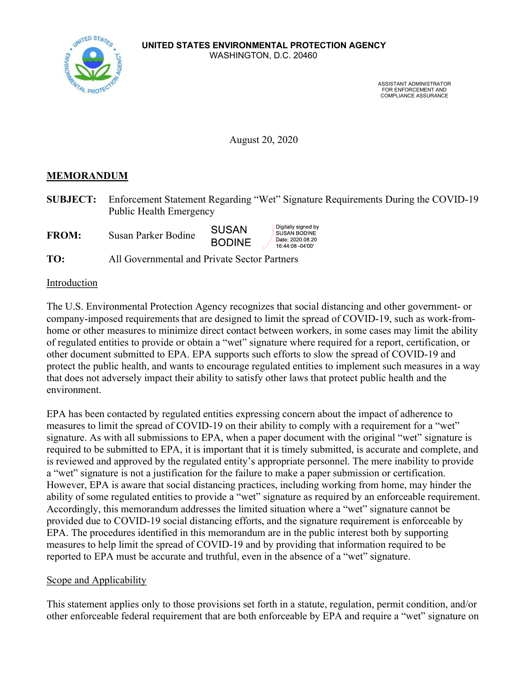

ASSISTANT ADMINISTRATOR FOR ENFORCEMENT AND COMPLIANCE ASSURANCE

August 20, 2020

### MEMORANDUM

SUBJECT: Enforcement Statement Regarding "Wet" Signature Requirements During the COVID-19 Public Health Emergency

Digitally signed by<br>SUSAN BODINE

Date: 2020.08.20

16:44:08 -04'00'

**SUSAN** FROM: Susan Parker Bodine **BODINE** 

TO: All Governmental and Private Sector Partners

#### Introduction

The U.S. Environmental Protection Agency recognizes that social distancing and other government- or company-imposed requirements that are designed to limit the spread of COVID-19, such as work-fromhome or other measures to minimize direct contact between workers, in some cases may limit the ability of regulated entities to provide or obtain a "wet" signature where required for a report, certification, or other document submitted to EPA. EPA supports such efforts to slow the spread of COVID-19 and protect the public health, and wants to encourage regulated entities to implement such measures in a way that does not adversely impact their ability to satisfy other laws that protect public health and the environment.

EPA has been contacted by regulated entities expressing concern about the impact of adherence to measures to limit the spread of COVID-19 on their ability to comply with a requirement for a "wet" signature. As with all submissions to EPA, when a paper document with the original "wet" signature is required to be submitted to EPA, it is important that it is timely submitted, is accurate and complete, and is reviewed and approved by the regulated entity's appropriate personnel. The mere inability to provide a "wet" signature is not a justification for the failure to make a paper submission or certification. However, EPA is aware that social distancing practices, including working from home, may hinder the ability of some regulated entities to provide a "wet" signature as required by an enforceable requirement. Accordingly, this memorandum addresses the limited situation where a "wet" signature cannot be provided due to COVID-19 social distancing efforts, and the signature requirement is enforceable by EPA. The procedures identified in this memorandum are in the public interest both by supporting measures to help limit the spread of COVID-19 and by providing that information required to be reported to EPA must be accurate and truthful, even in the absence of a "wet" signature.

### Scope and Applicability

This statement applies only to those provisions set forth in a statute, regulation, permit condition, and/or other enforceable federal requirement that are both enforceable by EPA and require a "wet" signature on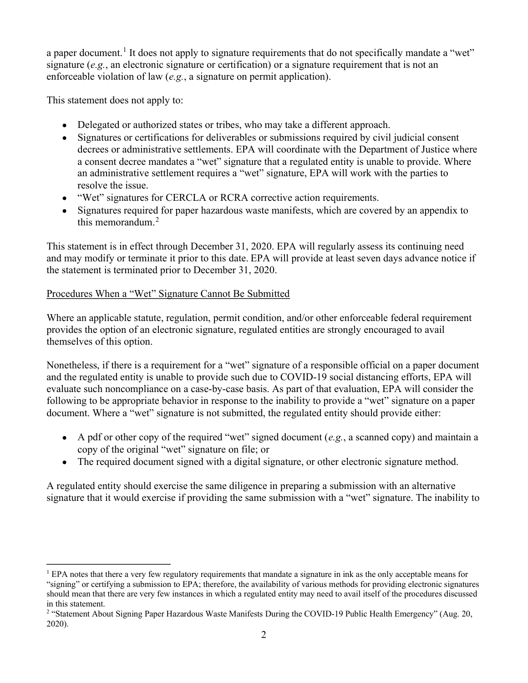a paper document.<sup>1</sup> It does not apply to signature requirements that do not specifically mandate a "wet" signature  $(e.g.,)$  an electronic signature or certification) or a signature requirement that is not an enforceable violation of law (e.g., a signature on permit application).

This statement does not apply to:

- Delegated or authorized states or tribes, who may take a different approach.
- Signatures or certifications for deliverables or submissions required by civil judicial consent decrees or administrative settlements. EPA will coordinate with the Department of Justice where a consent decree mandates a "wet" signature that a regulated entity is unable to provide. Where an administrative settlement requires a "wet" signature, EPA will work with the parties to resolve the issue.
- "Wet" signatures for CERCLA or RCRA corrective action requirements.
- Signatures required for paper hazardous waste manifests, which are covered by an appendix to this memorandum. $<sup>2</sup>$ </sup>

This statement is in effect through December 31, 2020. EPA will regularly assess its continuing need and may modify or terminate it prior to this date. EPA will provide at least seven days advance notice if the statement is terminated prior to December 31, 2020.

# Procedures When a "Wet" Signature Cannot Be Submitted

Where an applicable statute, regulation, permit condition, and/or other enforceable federal requirement provides the option of an electronic signature, regulated entities are strongly encouraged to avail themselves of this option.

Nonetheless, if there is a requirement for a "wet" signature of a responsible official on a paper document and the regulated entity is unable to provide such due to COVID-19 social distancing efforts, EPA will evaluate such noncompliance on a case-by-case basis. As part of that evaluation, EPA will consider the following to be appropriate behavior in response to the inability to provide a "wet" signature on a paper document. Where a "wet" signature is not submitted, the regulated entity should provide either:

- A pdf or other copy of the required "wet" signed document  $(e.g., a scanned copy)$  and maintain a copy of the original "wet" signature on file; or
- The required document signed with a digital signature, or other electronic signature method.

A regulated entity should exercise the same diligence in preparing a submission with an alternative signature that it would exercise if providing the same submission with a "wet" signature. The inability to

<sup>1</sup>EPA notes that there a very few regulatory requirements that mandate a signature in ink as the only acceptable means for

<sup>&</sup>quot;signing" or certifying a submission to EPA; therefore, the availability of various methods for providing electronic signatures should mean that there are very few instances in which a regulated entity may need to avail itself of the procedures discussed in this statement.

<sup>&</sup>lt;sup>2</sup> "Statement About Signing Paper Hazardous Waste Manifests During the COVID-19 Public Health Emergency" (Aug. 20, 2020).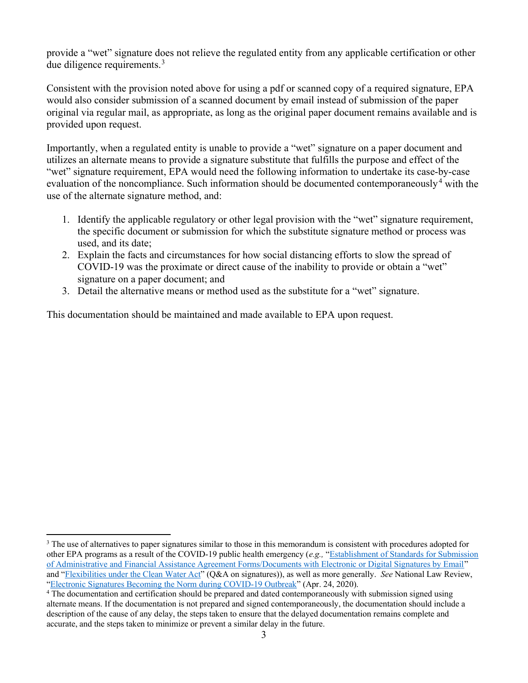provide a "wet" signature does not relieve the regulated entity from any applicable certification or other due diligence requirements.<sup>3</sup>

Consistent with the provision noted above for using a pdf or scanned copy of a required signature, EPA would also consider submission of a scanned document by email instead of submission of the paper original via regular mail, as appropriate, as long as the original paper document remains available and is provided upon request.

Importantly, when a regulated entity is unable to provide a "wet" signature on a paper document and utilizes an alternate means to provide a signature substitute that fulfills the purpose and effect of the "wet" signature requirement, EPA would need the following information to undertake its case-by-case evaluation of the noncompliance. Such information should be documented contemporaneously<sup>4</sup> with the use of the alternate signature method, and:

- 1. Identify the applicable regulatory or other legal provision with the "wet" signature requirement, the specific document or submission for which the substitute signature method or process was used, and its date;
- 2. Explain the facts and circumstances for how social distancing efforts to slow the spread of COVID-19 was the proximate or direct cause of the inability to provide or obtain a "wet" signature on a paper document; and
- 3. Detail the alternative means or method used as the substitute for a "wet" signature.

This documentation should be maintained and made available to EPA upon request.

<sup>&</sup>lt;sup>3</sup> The use of alternatives to paper signatures similar to those in this memorandum is consistent with procedures adopted for other EPA programs as a result of the COVID-19 public health emergency (e.g., "Establishment of Standards for Submission of Administrative and Financial Assistance Agreement Forms/Documents with Electronic or Digital Signatures by Email" and "Flexibilities under the Clean Water Act" (Q&A on signatures)), as well as more generally. See National Law Review, "Electronic Signatures Becoming the Norm during COVID-19 Outbreak" (Apr. 24, 2020).

<sup>&</sup>lt;sup>4</sup> The documentation and certification should be prepared and dated contemporaneously with submission signed using alternate means. If the documentation is not prepared and signed contemporaneously, the documentation should include a description of the cause of any delay, the steps taken to ensure that the delayed documentation remains complete and accurate, and the steps taken to minimize or prevent a similar delay in the future.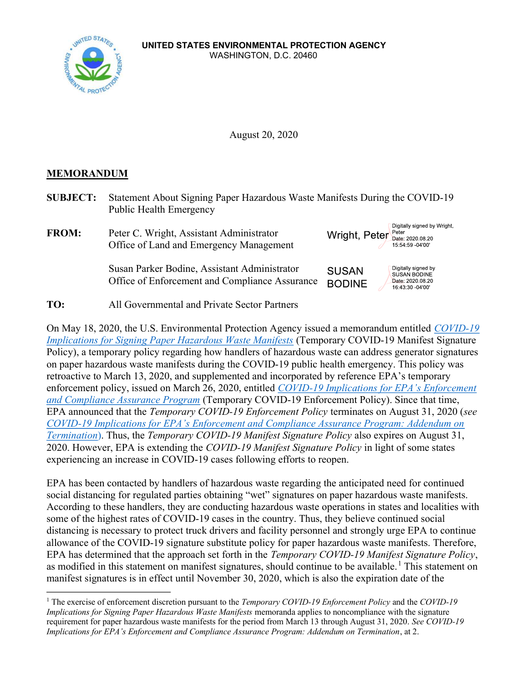

August 20, 2020

## MEMORANDUM

| <b>SUBJECT:</b> | Statement About Signing Paper Hazardous Waste Manifests During the COVID-19<br><b>Public Health Emergency</b> |                                                                                                                     |
|-----------------|---------------------------------------------------------------------------------------------------------------|---------------------------------------------------------------------------------------------------------------------|
| <b>FROM:</b>    | Peter C. Wright, Assistant Administrator<br>Office of Land and Emergency Management                           | Digitally signed by Wright,<br>Wright, Peter Peter 2020.08.20<br>15:54:59 -04'00'                                   |
|                 | Susan Parker Bodine, Assistant Administrator<br>Office of Enforcement and Compliance Assurance                | Digitally signed by<br><b>SUSAN</b><br><b>SUSAN BODINE</b><br>Date: 2020.08.20<br><b>BODINE</b><br>16:43:30 -04'00' |
| TO:             | All Governmental and Private Sector Partners                                                                  |                                                                                                                     |

On May 18, 2020, the U.S. Environmental Protection Agency issued a memorandum entitled COVID-19 Implications for Signing Paper Hazardous Waste Manifests (Temporary COVID-19 Manifest Signature Policy), a temporary policy regarding how handlers of hazardous waste can address generator signatures on paper hazardous waste manifests during the COVID-19 public health emergency. This policy was retroactive to March 13, 2020, and supplemented and incorporated by reference EPA's temporary enforcement policy, issued on March 26, 2020, entitled *COVID-19 Implications for EPA's Enforcement* and Compliance Assurance Program (Temporary COVID-19 Enforcement Policy). Since that time, EPA announced that the Temporary COVID-19 Enforcement Policy terminates on August 31, 2020 (see COVID-19 Implications for EPA's Enforcement and Compliance Assurance Program: Addendum on Termination). Thus, the Temporary COVID-19 Manifest Signature Policy also expires on August 31, 2020. However, EPA is extending the *COVID-19 Manifest Signature Policy* in light of some states experiencing an increase in COVID-19 cases following efforts to reopen.

EPA has been contacted by handlers of hazardous waste regarding the anticipated need for continued social distancing for regulated parties obtaining "wet" signatures on paper hazardous waste manifests. According to these handlers, they are conducting hazardous waste operations in states and localities with some of the highest rates of COVID-19 cases in the country. Thus, they believe continued social distancing is necessary to protect truck drivers and facility personnel and strongly urge EPA to continue allowance of the COVID-19 signature substitute policy for paper hazardous waste manifests. Therefore, EPA has determined that the approach set forth in the Temporary COVID-19 Manifest Signature Policy, as modified in this statement on manifest signatures, should continue to be available.<sup>1</sup> This statement on manifest signatures is in effect until November 30, 2020, which is also the expiration date of the

<sup>&</sup>lt;sup>1</sup> The exercise of enforcement discretion pursuant to the *Temporary COVID-19 Enforcement Policy* and the *COVID-19* Implications for Signing Paper Hazardous Waste Manifests memoranda applies to noncompliance with the signature requirement for paper hazardous waste manifests for the period from March 13 through August 31, 2020. See COVID-19 Implications for EPA's Enforcement and Compliance Assurance Program: Addendum on Termination, at 2.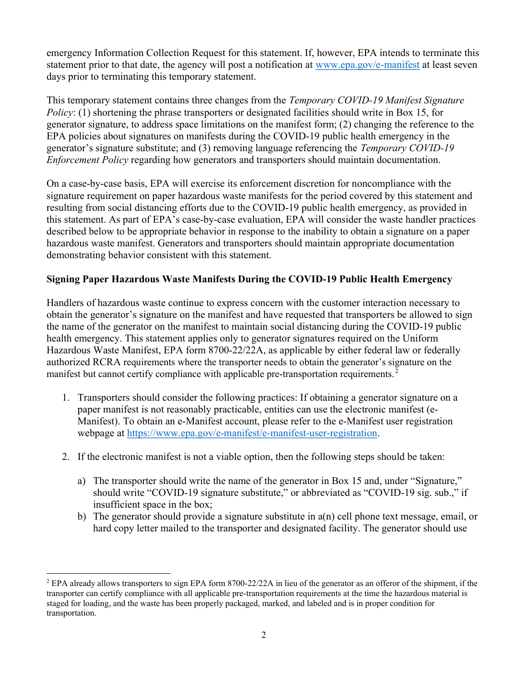emergency Information Collection Request for this statement. If, however, EPA intends to terminate this statement prior to that date, the agency will post a notification at www.epa.gov/e-manifest at least seven days prior to terminating this temporary statement.

This temporary statement contains three changes from the *Temporary COVID-19 Manifest Signature* Policy: (1) shortening the phrase transporters or designated facilities should write in Box 15, for generator signature, to address space limitations on the manifest form; (2) changing the reference to the EPA policies about signatures on manifests during the COVID-19 public health emergency in the generator's signature substitute; and (3) removing language referencing the Temporary COVID-19 Enforcement Policy regarding how generators and transporters should maintain documentation.

On a case-by-case basis, EPA will exercise its enforcement discretion for noncompliance with the signature requirement on paper hazardous waste manifests for the period covered by this statement and resulting from social distancing efforts due to the COVID-19 public health emergency, as provided in this statement. As part of EPA's case-by-case evaluation, EPA will consider the waste handler practices described below to be appropriate behavior in response to the inability to obtain a signature on a paper hazardous waste manifest. Generators and transporters should maintain appropriate documentation demonstrating behavior consistent with this statement.

### Signing Paper Hazardous Waste Manifests During the COVID-19 Public Health Emergency

Handlers of hazardous waste continue to express concern with the customer interaction necessary to obtain the generator's signature on the manifest and have requested that transporters be allowed to sign the name of the generator on the manifest to maintain social distancing during the COVID-19 public health emergency. This statement applies only to generator signatures required on the Uniform Hazardous Waste Manifest, EPA form 8700-22/22A, as applicable by either federal law or federally authorized RCRA requirements where the transporter needs to obtain the generator's signature on the manifest but cannot certify compliance with applicable pre-transportation requirements.<sup>2</sup>

- 1. Transporters should consider the following practices: If obtaining a generator signature on a paper manifest is not reasonably practicable, entities can use the electronic manifest (e-Manifest). To obtain an e-Manifest account, please refer to the e-Manifest user registration webpage at https://www.epa.gov/e-manifest/e-manifest-user-registration.
- 2. If the electronic manifest is not a viable option, then the following steps should be taken:
	- a) The transporter should write the name of the generator in Box 15 and, under "Signature," should write "COVID-19 signature substitute," or abbreviated as "COVID-19 sig. sub.," if insufficient space in the box;
	- b) The generator should provide a signature substitute in a(n) cell phone text message, email, or hard copy letter mailed to the transporter and designated facility. The generator should use

 $2$  EPA already allows transporters to sign EPA form 8700-22/22A in lieu of the generator as an offeror of the shipment, if the transporter can certify compliance with all applicable pre-transportation requirements at the time the hazardous material is staged for loading, and the waste has been properly packaged, marked, and labeled and is in proper condition for transportation.